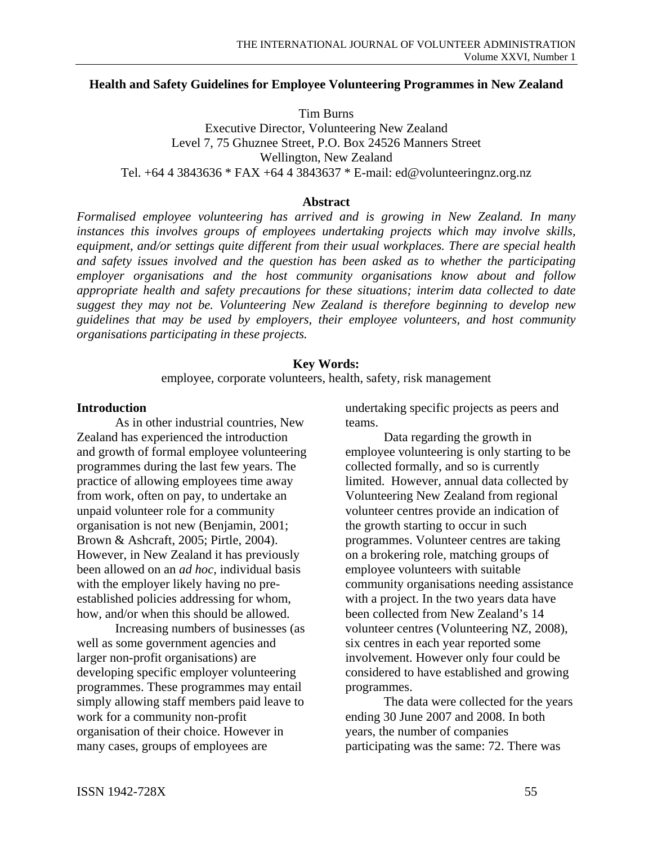#### **Health and Safety Guidelines for Employee Volunteering Programmes in New Zealand**

Tim Burns Executive Director, Volunteering New Zealand Level 7, 75 Ghuznee Street, P.O. Box 24526 Manners Street Wellington, New Zealand Tel. +64 4 3843636 \* FAX +64 4 3843637 \* E-mail: ed@volunteeringnz.org.nz

#### **Abstract**

*Formalised employee volunteering has arrived and is growing in New Zealand. In many instances this involves groups of employees undertaking projects which may involve skills, equipment, and/or settings quite different from their usual workplaces. There are special health and safety issues involved and the question has been asked as to whether the participating employer organisations and the host community organisations know about and follow appropriate health and safety precautions for these situations; interim data collected to date suggest they may not be. Volunteering New Zealand is therefore beginning to develop new guidelines that may be used by employers, their employee volunteers, and host community organisations participating in these projects.* 

### **Key Words:**

employee, corporate volunteers, health, safety, risk management

#### **Introduction**

As in other industrial countries, New Zealand has experienced the introduction and growth of formal employee volunteering programmes during the last few years. The practice of allowing employees time away from work, often on pay, to undertake an unpaid volunteer role for a community organisation is not new (Benjamin, 2001; Brown & Ashcraft, 2005; Pirtle, 2004). However, in New Zealand it has previously been allowed on an *ad hoc,* individual basis with the employer likely having no preestablished policies addressing for whom, how, and/or when this should be allowed.

Increasing numbers of businesses (as well as some government agencies and larger non-profit organisations) are developing specific employer volunteering programmes. These programmes may entail simply allowing staff members paid leave to work for a community non-profit organisation of their choice. However in many cases, groups of employees are

undertaking specific projects as peers and teams.

Data regarding the growth in employee volunteering is only starting to be collected formally, and so is currently limited. However, annual data collected by Volunteering New Zealand from regional volunteer centres provide an indication of the growth starting to occur in such programmes. Volunteer centres are taking on a brokering role, matching groups of employee volunteers with suitable community organisations needing assistance with a project. In the two years data have been collected from New Zealand's 14 volunteer centres (Volunteering NZ, 2008), six centres in each year reported some involvement. However only four could be considered to have established and growing programmes.

The data were collected for the years ending 30 June 2007 and 2008. In both years, the number of companies participating was the same: 72. There was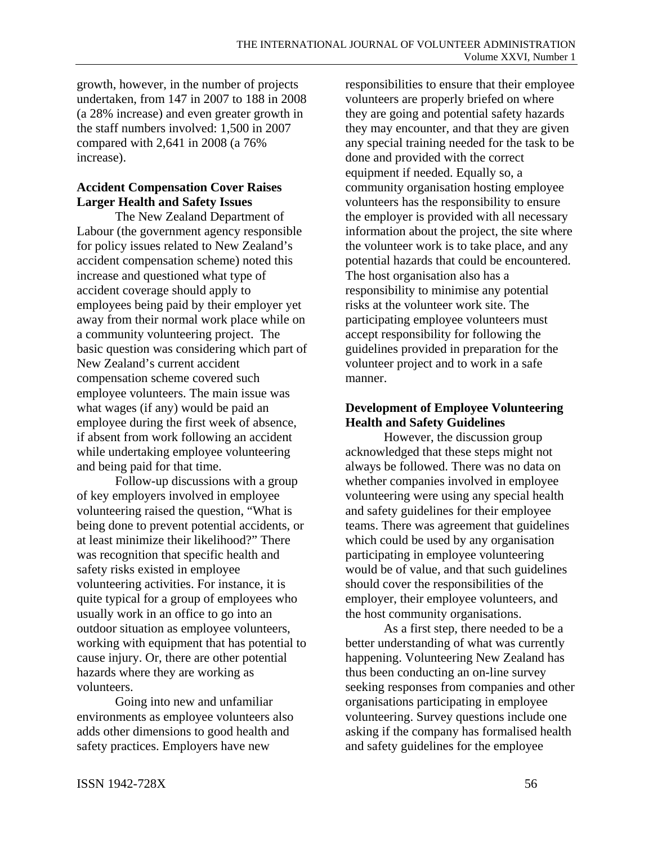growth, however, in the number of projects undertaken, from 147 in 2007 to 188 in 2008 (a 28% increase) and even greater growth in the staff numbers involved: 1,500 in 2007 compared with 2,641 in 2008 (a 76% increase).

# **Accident Compensation Cover Raises Larger Health and Safety Issues**

The New Zealand Department of Labour (the government agency responsible for policy issues related to New Zealand's accident compensation scheme) noted this increase and questioned what type of accident coverage should apply to employees being paid by their employer yet away from their normal work place while on a community volunteering project. The basic question was considering which part of New Zealand's current accident compensation scheme covered such employee volunteers. The main issue was what wages (if any) would be paid an employee during the first week of absence, if absent from work following an accident while undertaking employee volunteering and being paid for that time.

Follow-up discussions with a group of key employers involved in employee volunteering raised the question, "What is being done to prevent potential accidents, or at least minimize their likelihood?" There was recognition that specific health and safety risks existed in employee volunteering activities. For instance, it is quite typical for a group of employees who usually work in an office to go into an outdoor situation as employee volunteers, working with equipment that has potential to cause injury. Or, there are other potential hazards where they are working as volunteers.

Going into new and unfamiliar environments as employee volunteers also adds other dimensions to good health and safety practices. Employers have new

responsibilities to ensure that their employee volunteers are properly briefed on where they are going and potential safety hazards they may encounter, and that they are given any special training needed for the task to be done and provided with the correct equipment if needed. Equally so, a community organisation hosting employee volunteers has the responsibility to ensure the employer is provided with all necessary information about the project, the site where the volunteer work is to take place, and any potential hazards that could be encountered. The host organisation also has a responsibility to minimise any potential risks at the volunteer work site. The participating employee volunteers must accept responsibility for following the guidelines provided in preparation for the volunteer project and to work in a safe manner.

# **Development of Employee Volunteering Health and Safety Guidelines**

However, the discussion group acknowledged that these steps might not always be followed. There was no data on whether companies involved in employee volunteering were using any special health and safety guidelines for their employee teams. There was agreement that guidelines which could be used by any organisation participating in employee volunteering would be of value, and that such guidelines should cover the responsibilities of the employer, their employee volunteers, and the host community organisations.

As a first step, there needed to be a better understanding of what was currently happening. Volunteering New Zealand has thus been conducting an on-line survey seeking responses from companies and other organisations participating in employee volunteering. Survey questions include one asking if the company has formalised health and safety guidelines for the employee